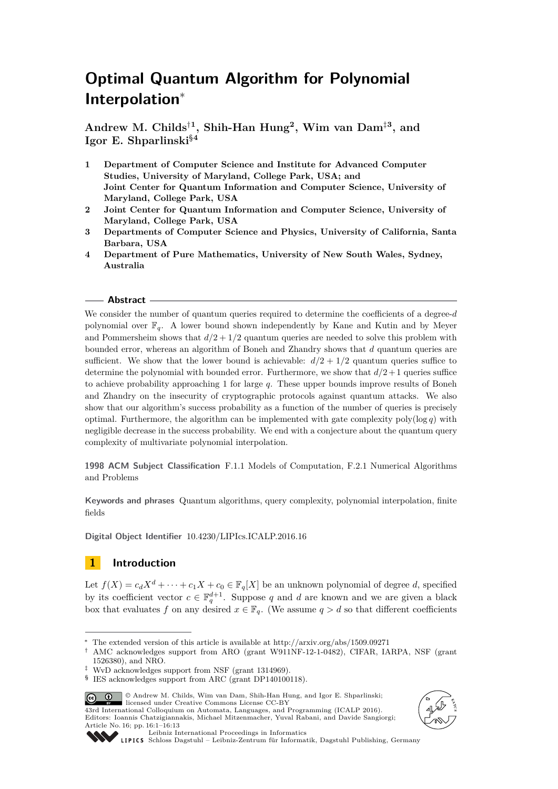# **Optimal Quantum Algorithm for Polynomial Interpolation**<sup>∗</sup>

**Andrew M. Childs**†**<sup>1</sup> , Shih-Han Hung<sup>2</sup> , Wim van Dam**‡**<sup>3</sup> , and Igor E. Shparlinski**§**<sup>4</sup>**

- **1 Department of Computer Science and Institute for Advanced Computer Studies, University of Maryland, College Park, USA; and Joint Center for Quantum Information and Computer Science, University of Maryland, College Park, USA**
- **2 Joint Center for Quantum Information and Computer Science, University of Maryland, College Park, USA**
- **3 Departments of Computer Science and Physics, University of California, Santa Barbara, USA**
- **4 Department of Pure Mathematics, University of New South Wales, Sydney, Australia**

### **Abstract**

We consider the number of quantum queries required to determine the coefficients of a degree-*d* polynomial over  $\mathbb{F}_q$ . A lower bound shown independently by Kane and Kutin and by Meyer and Pommersheim shows that  $d/2 + 1/2$  quantum queries are needed to solve this problem with bounded error, whereas an algorithm of Boneh and Zhandry shows that *d* quantum queries are sufficient. We show that the lower bound is achievable:  $d/2 + 1/2$  quantum queries suffice to determine the polynomial with bounded error. Furthermore, we show that  $d/2+1$  queries suffice to achieve probability approaching 1 for large *q*. These upper bounds improve results of Boneh and Zhandry on the insecurity of cryptographic protocols against quantum attacks. We also show that our algorithm's success probability as a function of the number of queries is precisely optimal. Furthermore, the algorithm can be implemented with gate complexity  $poly(\log q)$  with negligible decrease in the success probability. We end with a conjecture about the quantum query complexity of multivariate polynomial interpolation.

**1998 ACM Subject Classification** F.1.1 Models of Computation, F.2.1 Numerical Algorithms and Problems

**Keywords and phrases** Quantum algorithms, query complexity, polynomial interpolation, finite fields

**Digital Object Identifier** [10.4230/LIPIcs.ICALP.2016.16](http://dx.doi.org/10.4230/LIPIcs.ICALP.2016.16)

# **1 Introduction**

Let  $f(X) = c_d X^d + \cdots + c_1 X + c_0 \in \mathbb{F}_q[X]$  be an unknown polynomial of degree *d*, specified by its coefficient vector  $c \in \mathbb{F}_q^{d+1}$ . Suppose *q* and *d* are known and we are given a black box that evaluates *f* on any desired  $x \in \mathbb{F}_q$ . (We assume  $q > d$  so that different coefficients

<sup>§</sup> IES acknowledges support from ARC (grant DP140100118).







[Leibniz International Proceedings in Informatics](http://www.dagstuhl.de/lipics/)

[Schloss Dagstuhl – Leibniz-Zentrum für Informatik, Dagstuhl Publishing, Germany](http://www.dagstuhl.de)

The extended version of this article is available at http://arxiv.org/abs/1509.09271

<sup>†</sup> AMC acknowledges support from ARO (grant W911NF-12-1-0482), CIFAR, IARPA, NSF (grant 1526380), and NRO.

<sup>‡</sup> WvD acknowledges support from NSF (grant 1314969).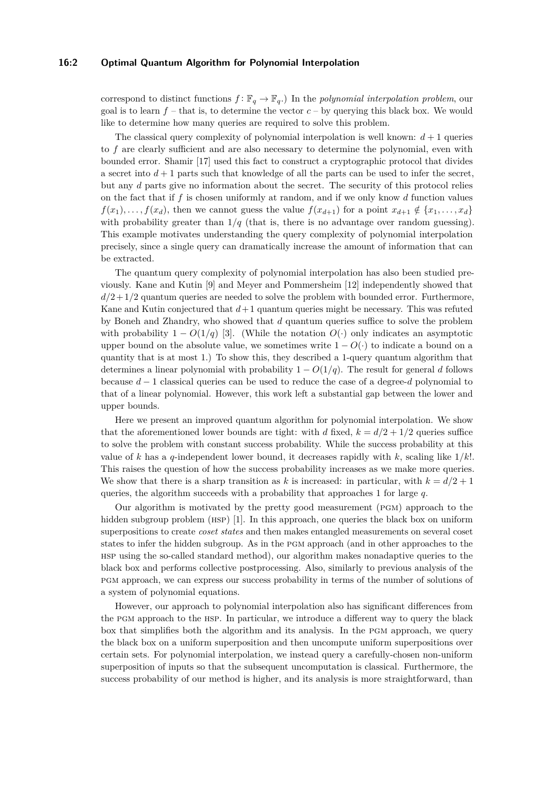#### **16:2 Optimal Quantum Algorithm for Polynomial Interpolation**

correspond to distinct functions  $f: \mathbb{F}_q \to \mathbb{F}_q$ .) In the *polynomial interpolation problem*, our goal is to learn  $f$  – that is, to determine the vector  $c$  – by querying this black box. We would like to determine how many queries are required to solve this problem.

The classical query complexity of polynomial interpolation is well known:  $d + 1$  queries to *f* are clearly sufficient and are also necessary to determine the polynomial, even with bounded error. Shamir [\[17\]](#page-12-1) used this fact to construct a cryptographic protocol that divides a secret into  $d+1$  parts such that knowledge of all the parts can be used to infer the secret, but any *d* parts give no information about the secret. The security of this protocol relies on the fact that if *f* is chosen uniformly at random, and if we only know *d* function values  $f(x_1), \ldots, f(x_d)$ , then we cannot guess the value  $f(x_{d+1})$  for a point  $x_{d+1} \notin \{x_1, \ldots, x_d\}$ with probability greater than  $1/q$  (that is, there is no advantage over random guessing). This example motivates understanding the query complexity of polynomial interpolation precisely, since a single query can dramatically increase the amount of information that can be extracted.

The quantum query complexity of polynomial interpolation has also been studied previously. Kane and Kutin [\[9\]](#page-12-2) and Meyer and Pommersheim [\[12\]](#page-12-3) independently showed that  $d/2+1/2$  quantum queries are needed to solve the problem with bounded error. Furthermore, Kane and Kutin conjectured that  $d+1$  quantum queries might be necessary. This was refuted by Boneh and Zhandry, who showed that *d* quantum queries suffice to solve the problem with probability  $1 - O(1/q)$  [\[3\]](#page-12-4). (While the notation  $O(\cdot)$  only indicates an asymptotic upper bound on the absolute value, we sometimes write  $1 - O(·)$  to indicate a bound on a quantity that is at most 1.) To show this, they described a 1-query quantum algorithm that determines a linear polynomial with probability  $1 - O(1/q)$ . The result for general d follows because *d* − 1 classical queries can be used to reduce the case of a degree-*d* polynomial to that of a linear polynomial. However, this work left a substantial gap between the lower and upper bounds.

Here we present an improved quantum algorithm for polynomial interpolation. We show that the aforementioned lower bounds are tight: with *d* fixed,  $k = d/2 + 1/2$  queries suffice to solve the problem with constant success probability. While the success probability at this value of *k* has a *q*-independent lower bound, it decreases rapidly with *k*, scaling like 1*/k*!. This raises the question of how the success probability increases as we make more queries. We show that there is a sharp transition as k is increased: in particular, with  $k = d/2 + 1$ queries, the algorithm succeeds with a probability that approaches 1 for large *q*.

Our algorithm is motivated by the pretty good measurement (pgm) approach to the hidden subgroup problem (HSP) [\[1\]](#page-12-5). In this approach, one queries the black box on uniform superpositions to create *coset states* and then makes entangled measurements on several coset states to infer the hidden subgroup. As in the pgm approach (and in other approaches to the hsp using the so-called standard method), our algorithm makes nonadaptive queries to the black box and performs collective postprocessing. Also, similarly to previous analysis of the pgm approach, we can express our success probability in terms of the number of solutions of a system of polynomial equations.

However, our approach to polynomial interpolation also has significant differences from the pgm approach to the hsp. In particular, we introduce a different way to query the black box that simplifies both the algorithm and its analysis. In the pgm approach, we query the black box on a uniform superposition and then uncompute uniform superpositions over certain sets. For polynomial interpolation, we instead query a carefully-chosen non-uniform superposition of inputs so that the subsequent uncomputation is classical. Furthermore, the success probability of our method is higher, and its analysis is more straightforward, than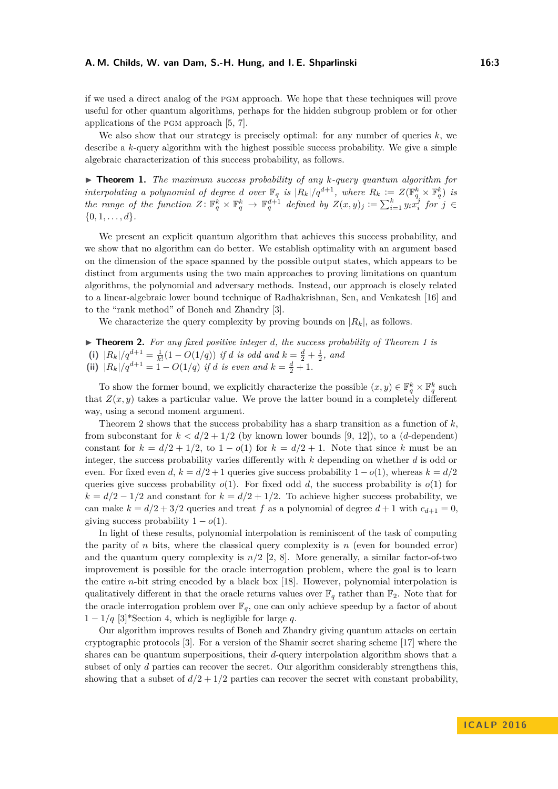if we used a direct analog of the pgm approach. We hope that these techniques will prove useful for other quantum algorithms, perhaps for the hidden subgroup problem or for other applications of the pgm approach [\[5,](#page-12-6) [7\]](#page-12-7).

We also show that our strategy is precisely optimal: for any number of queries *k*, we describe a *k*-query algorithm with the highest possible success probability. We give a simple algebraic characterization of this success probability, as follows.

<span id="page-2-0"></span>I **Theorem 1.** *The maximum success probability of any k-query quantum algorithm for interpolating a polynomial of degree <i>d over*  $\mathbb{F}_q$  *is*  $|R_k|/q^{d+1}$ *, where*  $R_k := Z(\mathbb{F}_q^k \times \mathbb{F}_q^k)$  *is* the range of the function  $Z \colon \mathbb{F}_q^k \times \mathbb{F}_q^k \to \mathbb{F}_q^{d+1}$  defined by  $Z(x,y)_j := \sum_{i=1}^k y_i x_i^j$  for  $j \in$  $\{0, 1, \ldots, d\}.$ 

We present an explicit quantum algorithm that achieves this success probability, and we show that no algorithm can do better. We establish optimality with an argument based on the dimension of the space spanned by the possible output states, which appears to be distinct from arguments using the two main approaches to proving limitations on quantum algorithms, the polynomial and adversary methods. Instead, our approach is closely related to a linear-algebraic lower bound technique of Radhakrishnan, Sen, and Venkatesh [\[16\]](#page-12-8) and to the "rank method" of Boneh and Zhandry [\[3\]](#page-12-4).

We characterize the query complexity by proving bounds on  $|R_k|$ , as follows.

<span id="page-2-1"></span>I **Theorem 2.** *For any fixed positive integer d, the success probability of Theorem [1](#page-2-0) is* (i)  $|R_k|/q^{d+1} = \frac{1}{k!}(1 - O(1/q))$  *if d is odd and*  $k = \frac{d}{2} + \frac{1}{2}$ *, and* (ii)  $|R_k|/q^{d+1} = 1 - O(1/q)$  *if d is even and*  $k = \frac{d}{2} + 1$ *.* 

To show the former bound, we explicitly characterize the possible  $(x, y) \in \mathbb{F}_q^k \times \mathbb{F}_q^k$  such that  $Z(x, y)$  takes a particular value. We prove the latter bound in a completely different way, using a second moment argument.

Theorem [2](#page-2-1) shows that the success probability has a sharp transition as a function of  $k$ , from subconstant for  $k < d/2 + 1/2$  (by known lower bounds [\[9,](#page-12-2) [12\]](#page-12-3)), to a (*d*-dependent) constant for  $k = d/2 + 1/2$ , to  $1 - o(1)$  for  $k = d/2 + 1$ . Note that since k must be an integer, the success probability varies differently with *k* depending on whether *d* is odd or even. For fixed even *d*,  $k = d/2 + 1$  queries give success probability  $1 - o(1)$ , whereas  $k = d/2$ queries give success probability  $o(1)$ . For fixed odd *d*, the success probability is  $o(1)$  for  $k = d/2 - 1/2$  and constant for  $k = d/2 + 1/2$ . To achieve higher success probability, we can make  $k = d/2 + 3/2$  queries and treat f as a polynomial of degree  $d + 1$  with  $c_{d+1} = 0$ , giving success probability  $1 - o(1)$ .

In light of these results, polynomial interpolation is reminiscent of the task of computing the parity of *n* bits, where the classical query complexity is  $n$  (even for bounded error) and the quantum query complexity is  $n/2$  [\[2,](#page-12-9) [8\]](#page-12-10). More generally, a similar factor-of-two improvement is possible for the oracle interrogation problem, where the goal is to learn the entire *n*-bit string encoded by a black box [\[18\]](#page-12-11). However, polynomial interpolation is qualitatively different in that the oracle returns values over  $\mathbb{F}_q$  rather than  $\mathbb{F}_2$ . Note that for the oracle interrogation problem over  $\mathbb{F}_q$ , one can only achieve speedup by a factor of about  $1 - 1/q$  [\[3\]](#page-12-4)\*Section 4, which is negligible for large q.

Our algorithm improves results of Boneh and Zhandry giving quantum attacks on certain cryptographic protocols [\[3\]](#page-12-4). For a version of the Shamir secret sharing scheme [\[17\]](#page-12-1) where the shares can be quantum superpositions, their *d*-query interpolation algorithm shows that a subset of only *d* parties can recover the secret. Our algorithm considerably strengthens this, showing that a subset of  $d/2 + 1/2$  parties can recover the secret with constant probability,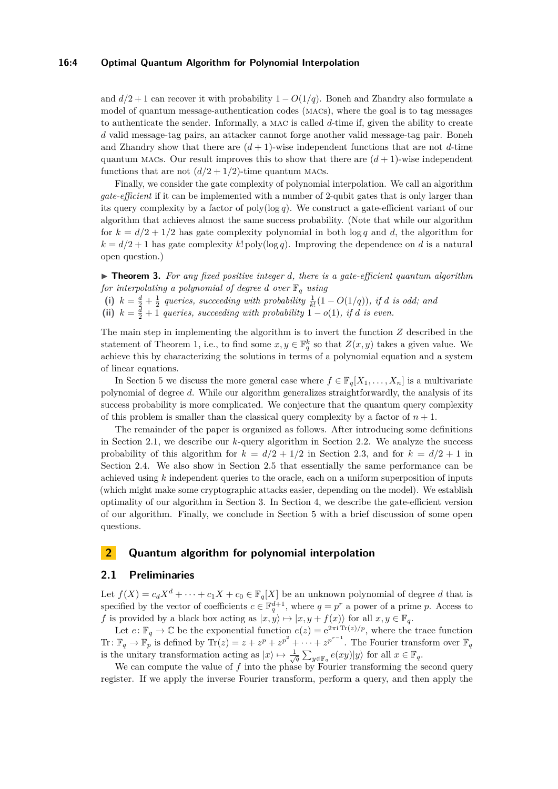#### **16:4 Optimal Quantum Algorithm for Polynomial Interpolation**

and  $d/2 + 1$  can recover it with probability  $1 - O(1/q)$ . Boneh and Zhandry also formulate a model of quantum message-authentication codes (macs), where the goal is to tag messages to authenticate the sender. Informally, a mac is called *d*-time if, given the ability to create *d* valid message-tag pairs, an attacker cannot forge another valid message-tag pair. Boneh and Zhandry show that there are  $(d+1)$ -wise independent functions that are not  $d$ -time quantum MACs. Our result improves this to show that there are  $(d+1)$ -wise independent functions that are not  $(d/2 + 1/2)$ -time quantum MACs.

Finally, we consider the gate complexity of polynomial interpolation. We call an algorithm *gate-efficient* if it can be implemented with a number of 2-qubit gates that is only larger than its query complexity by a factor of poly( $\log q$ ). We construct a gate-efficient variant of our algorithm that achieves almost the same success probability. (Note that while our algorithm for  $k = d/2 + 1/2$  has gate complexity polynomial in both  $\log q$  and *d*, the algorithm for  $k = d/2 + 1$  has gate complexity  $k!$  poly(log *q*). Improving the dependence on *d* is a natural open question.)

<span id="page-3-2"></span>I **Theorem 3.** *For any fixed positive integer d, there is a gate-efficient quantum algorithm for interpolating a polynomial of degree d over*  $\mathbb{F}_q$  *using* 

(i)  $k = \frac{d}{2} + \frac{1}{2}$  queries, succeeding with probability  $\frac{1}{k!}(1 - O(1/q))$ , if *d* is odd; and

(ii)  $k = \frac{d}{2} + 1$  *queries, succeeding with probability*  $1 - o(1)$ *, if d is even.* 

The main step in implementing the algorithm is to invert the function *Z* described in the statement of Theorem [1,](#page-2-0) i.e., to find some  $x, y \in \mathbb{F}_q^k$  so that  $Z(x, y)$  takes a given value. We achieve this by characterizing the solutions in terms of a polynomial equation and a system of linear equations.

In Section [5](#page-11-0) we discuss the more general case where  $f \in \mathbb{F}_q[X_1, \ldots, X_n]$  is a multivariate polynomial of degree *d*. While our algorithm generalizes straightforwardly, the analysis of its success probability is more complicated. We conjecture that the quantum query complexity of this problem is smaller than the classical query complexity by a factor of  $n + 1$ .

The remainder of the paper is organized as follows. After introducing some definitions in Section [2.1,](#page-3-0) we describe our *k*-query algorithm in Section [2.2.](#page-4-0) We analyze the success probability of this algorithm for  $k = d/2 + 1/2$  in Section [2.3,](#page-5-0) and for  $k = d/2 + 1$  in Section [2.4.](#page-5-1) We also show in Section [2.5](#page-6-0) that essentially the same performance can be achieved using *k* independent queries to the oracle, each on a uniform superposition of inputs (which might make some cryptographic attacks easier, depending on the model). We establish optimality of our algorithm in Section [3.](#page-7-0) In Section [4,](#page-8-0) we describe the gate-efficient version of our algorithm. Finally, we conclude in Section [5](#page-11-0) with a brief discussion of some open questions.

## <span id="page-3-1"></span>**2 Quantum algorithm for polynomial interpolation**

#### <span id="page-3-0"></span>**2.1 Preliminaries**

Let  $f(X) = c_d X^d + \cdots + c_1 X + c_0 \in \mathbb{F}_q[X]$  be an unknown polynomial of degree *d* that is specified by the vector of coefficients  $c \in \mathbb{F}_q^{d+1}$ , where  $q = p^r$  a power of a prime *p*. Access to *f* is provided by a black box acting as  $|x, y\rangle \mapsto |x, y + f(x)\rangle$  for all  $x, y \in \mathbb{F}_q$ .

Let  $e: \mathbb{F}_q \to \mathbb{C}$  be the exponential function  $e(z) = e^{2\pi i \text{Tr}(z)/p}$ , where the trace function Tr:  $\mathbb{F}_q \to \mathbb{F}_p$  is defined by  $\text{Tr}(z) = z + z^p + z^{p^2} + \cdots + z^{p^{r-1}}$ . The Fourier transform over  $\mathbb{F}_q$ is the unitary transformation acting as  $|x\rangle \mapsto \frac{1}{\sqrt{q}}\sum_{y\in\mathbb{F}_q}e(xy)|y\rangle$  for all  $x\in\mathbb{F}_q$ .

We can compute the value of f into the phase by Fourier transforming the second query register. If we apply the inverse Fourier transform, perform a query, and then apply the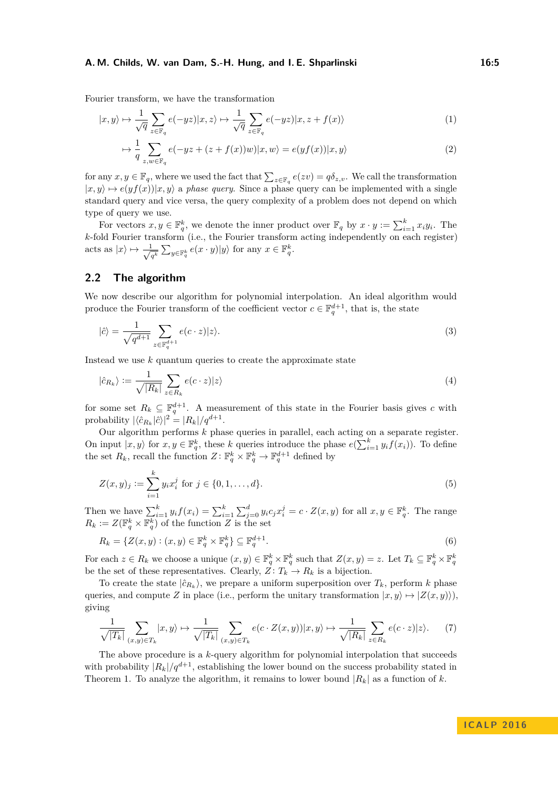Fourier transform, we have the transformation

$$
|x,y\rangle \mapsto \frac{1}{\sqrt{q}} \sum_{z \in \mathbb{F}_q} e(-yz)|x,z\rangle \mapsto \frac{1}{\sqrt{q}} \sum_{z \in \mathbb{F}_q} e(-yz)|x,z+f(x)\rangle \tag{1}
$$

$$
\mapsto \frac{1}{q} \sum_{z,w \in \mathbb{F}_q} e(-yz + (z + f(x))w)|x, w\rangle = e(yf(x))|x, y\rangle \tag{2}
$$

for any  $x, y \in \mathbb{F}_q$ , where we used the fact that  $\sum_{z \in \mathbb{F}_q} e(zv) = q\delta_{z,v}$ . We call the transformation  $|x, y\rangle \mapsto e(yf(x))|x, y\rangle$  a *phase query*. Since a phase query can be implemented with a single standard query and vice versa, the query complexity of a problem does not depend on which type of query we use.

For vectors  $x, y \in \mathbb{F}_q^k$ , we denote the inner product over  $\mathbb{F}_q$  by  $x \cdot y := \sum_{i=1}^k x_i y_i$ . The *k*-fold Fourier transform (i.e., the Fourier transform acting independently on each register) acts as  $|x\rangle \mapsto \frac{-1}{\sqrt{x}}$  $\frac{1}{q^k} \sum_{y \in \mathbb{F}_q^k} e(x \cdot y) |y\rangle$  for any  $x \in \mathbb{F}_q^k$ .

## <span id="page-4-0"></span>**2.2 The algorithm**

We now describe our algorithm for polynomial interpolation. An ideal algorithm would produce the Fourier transform of the coefficient vector  $c \in \mathbb{F}_q^{d+1}$ , that is, the state

$$
|\hat{c}\rangle = \frac{1}{\sqrt{q^{d+1}}} \sum_{z \in \mathbb{F}_q^{d+1}} e(c \cdot z) |z\rangle.
$$
 (3)

Instead we use *k* quantum queries to create the approximate state

$$
|\hat{c}_{R_k}\rangle := \frac{1}{\sqrt{|R_k|}} \sum_{z \in R_k} e(c \cdot z) |z\rangle \tag{4}
$$

for some set  $R_k \subseteq \mathbb{F}_q^{d+1}$ . A measurement of this state in the Fourier basis gives *c* with probability  $|\langle \hat{c}_{R_k} | \hat{c} \rangle|^2 = |R_k|/q^{d+1}$ .

Our algorithm performs *k* phase queries in parallel, each acting on a separate register. On input  $|x, y\rangle$  for  $x, y \in \mathbb{F}_q^k$ , these *k* queries introduce the phase  $e(\sum_{i=1}^k y_i f(x_i))$ . To define the set  $R_k$ , recall the function  $Z: \mathbb{F}_q^k \times \mathbb{F}_q^k \to \mathbb{F}_q^{d+1}$  defined by

$$
Z(x, y)_j := \sum_{i=1}^k y_i x_i^j \text{ for } j \in \{0, 1, \dots, d\}.
$$
 (5)

Then we have  $\sum_{i=1}^k y_i f(x_i) = \sum_{i=1}^k \sum_{j=0}^d y_i c_j x_i^j = c \cdot Z(x, y)$  for all  $x, y \in \mathbb{F}_q^k$ . The range  $R_k := Z(\mathbb{F}_q^k \times \mathbb{F}_q^k)$  of the function *Z* is the set

$$
R_k = \{ Z(x, y) : (x, y) \in \mathbb{F}_q^k \times \mathbb{F}_q^k \} \subseteq \mathbb{F}_q^{d+1}.
$$
\n
$$
(6)
$$

For each  $z \in R_k$  we choose a unique  $(x, y) \in \mathbb{F}_q^k \times \mathbb{F}_q^k$  such that  $Z(x, y) = z$ . Let  $T_k \subseteq \mathbb{F}_q^k \times \mathbb{F}_q^k$ be the set of these representatives. Clearly,  $Z: T_k \to R_k$  is a bijection.

To create the state  $|\hat{c}_{R_k}\rangle$ , we prepare a uniform superposition over  $T_k$ , perform  $k$  phase queries, and compute *Z* in place (i.e., perform the unitary transformation  $|x, y\rangle \mapsto |Z(x, y)\rangle$ ). giving

$$
\frac{1}{\sqrt{|T_k|}} \sum_{(x,y)\in T_k} |x,y\rangle \mapsto \frac{1}{\sqrt{|T_k|}} \sum_{(x,y)\in T_k} e(c \cdot Z(x,y)) |x,y\rangle \mapsto \frac{1}{\sqrt{|R_k|}} \sum_{z\in R_k} e(c \cdot z) |z\rangle. \tag{7}
$$

The above procedure is a *k*-query algorithm for polynomial interpolation that succeeds with probability  $|R_k|/q^{d+1}$ , establishing the lower bound on the success probability stated in Theorem [1.](#page-2-0) To analyze the algorithm, it remains to lower bound  $|R_k|$  as a function of *k*.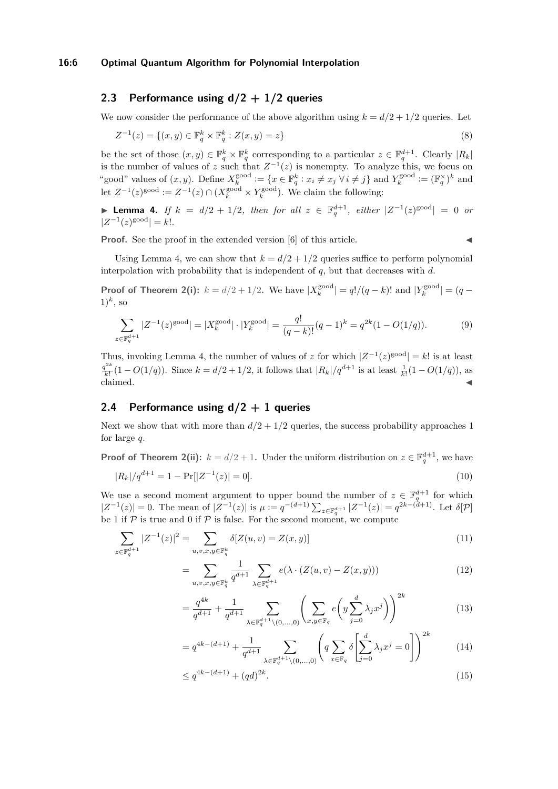#### **16:6 Optimal Quantum Algorithm for Polynomial Interpolation**

# <span id="page-5-0"></span>**2.3 Performance using d/2 + 1/2 queries**

We now consider the performance of the above algorithm using  $k = d/2 + 1/2$  queries. Let

$$
Z^{-1}(z) = \{(x, y) \in \mathbb{F}_q^k \times \mathbb{F}_q^k : Z(x, y) = z\}
$$
\n(8)

be the set of those  $(x, y) \in \mathbb{F}_q^k \times \mathbb{F}_q^k$  corresponding to a particular  $z \in \mathbb{F}_q^{d+1}$ . Clearly  $|R_k|$ is the number of values of *z* such that  $Z^{-1}(z)$  is nonempty. To analyze this, we focus on "good" values of  $(x, y)$ . Define  $X_k^{\text{good}} := \{x \in \mathbb{F}_q^k : x_i \neq x_j \,\forall \, i \neq j\}$  and  $Y_k^{\text{good}} := (\mathbb{F}_q^{\times})^k$  and let  $Z^{-1}(z)^{\text{good}} := Z^{-1}(z) \cap (X_k^{\text{good}} \times Y_k^{\text{good}})$ . We claim the following:

<span id="page-5-2"></span>▶ Lemma 4. *If*  $k = d/2 + 1/2$ , then for all  $z \in \mathbb{F}_q^{d+1}$ , either  $|Z^{-1}(z)^{\text{good}}| = 0$  or  $|Z^{-1}(z)^{\text{good}}| = k!$ .

**Proof.** See the proof in the extended version [\[6\]](#page-12-12) of this article.

Using Lemma [4,](#page-5-2) we can show that  $k = d/2 + 1/2$  queries suffice to perform polynomial interpolation with probability that is independent of *q*, but that decreases with *d*.

**Proof of Theorem [2\(](#page-2-1)i):**  $k = d/2 + 1/2$ . We have  $|X_k^{\text{good}}| = q!/(q-k)!$  and  $|Y_k^{\text{good}}| = (q-k)!$  $(1)^k$ , so

$$
\sum_{z \in \mathbb{F}_q^{d+1}} |Z^{-1}(z)^{\text{good}}| = |X_k^{\text{good}}| \cdot |Y_k^{\text{good}}| = \frac{q!}{(q-k)!} (q-1)^k = q^{2k} (1 - O(1/q)).
$$
 (9)

Thus, invoking Lemma [4,](#page-5-2) the number of values of *z* for which  $|Z^{-1}(z)|^{good}| = k!$  is at least  $q^{2k}$  $\frac{d^{2k}}{k!}(1 - O(1/q))$ . Since  $k = d/2 + 1/2$ , it follows that  $|R_k|/q^{d+1}$  is at least  $\frac{1}{k!}(1 - O(1/q))$ , as claimed.

## <span id="page-5-1"></span>**2.4 Performance using d/2 + 1 queries**

Next we show that with more than  $d/2 + 1/2$  queries, the success probability approaches 1 for large *q*.

**Proof of Theorem 2(ii):** 
$$
k = d/2 + 1
$$
. Under the uniform distribution on  $z \in \mathbb{F}_q^{d+1}$ , we have

$$
|R_k|/q^{d+1} = 1 - \Pr[|Z^{-1}(z)| = 0].
$$
\n(10)

We use a second moment argument to upper bound the number of  $z \in \mathbb{F}_q^{d+1}$  for which  $|Z^{-1}(z)| = 0$ . The mean of  $|Z^{-1}(z)|$  is  $\mu := q^{-(d+1)} \sum_{z \in \mathbb{F}_q^{d+1}} |Z^{-1}(z)| = q^{2k-(d+1)}$ . Let  $\delta[\mathcal{P}]$ be 1 if  $P$  is true and 0 if  $P$  is false. For the second moment, we compute

$$
\sum_{z \in \mathbb{F}_q^{d+1}} |Z^{-1}(z)|^2 = \sum_{u,v,x,y \in \mathbb{F}_q^k} \delta[Z(u,v) = Z(x,y)] \tag{11}
$$

$$
= \sum_{u,v,x,y \in \mathbb{F}_q^k} \frac{1}{q^{d+1}} \sum_{\lambda \in \mathbb{F}_q^{d+1}} e(\lambda \cdot (Z(u,v) - Z(x,y))) \tag{12}
$$

$$
= \frac{q^{4k}}{q^{d+1}} + \frac{1}{q^{d+1}} \sum_{\lambda \in \mathbb{F}_q^{d+1} \setminus (0, ..., 0)} \left( \sum_{x, y \in \mathbb{F}_q} e\left(y \sum_{j=0}^d \lambda_j x^j\right) \right)^{2k} \tag{13}
$$

$$
= q^{4k - (d+1)} + \frac{1}{q^{d+1}} \sum_{\lambda \in \mathbb{F}_q^{d+1} \setminus (0, ..., 0)} \left( q \sum_{x \in \mathbb{F}_q} \delta \left[ \sum_{j=0}^d \lambda_j x^j = 0 \right] \right)^{2k} \tag{14}
$$

$$
\leq q^{4k - (d+1)} + (qd)^{2k}.\tag{15}
$$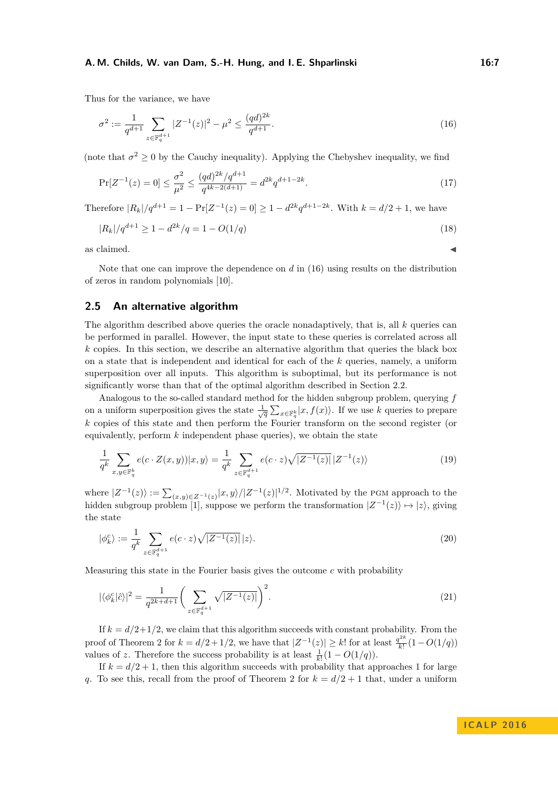Thus for the variance, we have

<span id="page-6-1"></span>
$$
\sigma^2 := \frac{1}{q^{d+1}} \sum_{z \in \mathbb{F}_q^{d+1}} |Z^{-1}(z)|^2 - \mu^2 \le \frac{(qd)^{2k}}{q^{d+1}}.\tag{16}
$$

(note that  $\sigma^2 \geq 0$  by the Cauchy inequality). Applying the Chebyshev inequality, we find

$$
\Pr[Z^{-1}(z) = 0] \le \frac{\sigma^2}{\mu^2} \le \frac{(qd)^{2k}/q^{d+1}}{q^{4k-2(d+1)}} = d^{2k}q^{d+1-2k}.\tag{17}
$$

Therefore  $|R_k|/q^{d+1} = 1 - \Pr[Z^{-1}(z) = 0] \geq 1 - d^{2k}q^{d+1-2k}$ . With  $k = d/2 + 1$ , we have

$$
|R_k|/q^{d+1} \ge 1 - d^{2k}/q = 1 - O(1/q)
$$
\n(18)

as claimed.  $\blacktriangleleft$ 

Note that one can improve the dependence on *d* in [\(16\)](#page-6-1) using results on the distribution of zeros in random polynomials [\[10\]](#page-12-13).

## <span id="page-6-0"></span>**2.5 An alternative algorithm**

The algorithm described above queries the oracle nonadaptively, that is, all *k* queries can be performed in parallel. However, the input state to these queries is correlated across all *k* copies. In this section, we describe an alternative algorithm that queries the black box on a state that is independent and identical for each of the *k* queries, namely, a uniform superposition over all inputs. This algorithm is suboptimal, but its performance is not significantly worse than that of the optimal algorithm described in Section [2.2.](#page-4-0)

Analogous to the so-called standard method for the hidden subgroup problem, querying *f* on a uniform superposition gives the state  $\frac{1}{\sqrt{q}}\sum_{x\in\mathbb{F}_q^k}|x, f(x)\rangle$ . If we use *k* queries to prepare *k* copies of this state and then perform the Fourier transform on the second register (or equivalently, perform *k* independent phase queries), we obtain the state

$$
\frac{1}{q^k} \sum_{x,y \in \mathbb{F}_q^k} e(c \cdot Z(x,y)) |x,y\rangle = \frac{1}{q^k} \sum_{z \in \mathbb{F}_q^{d+1}} e(c \cdot z) \sqrt{|Z^{-1}(z)|} |Z^{-1}(z)\rangle \tag{19}
$$

where  $|Z^{-1}(z)\rangle := \sum_{(x,y)\in Z^{-1}(z)} |x,y\rangle/|Z^{-1}(z)|^{1/2}$ . Motivated by the PGM approach to the hidden subgroup problem [\[1\]](#page-12-5), suppose we perform the transformation  $|Z^{-1}(z)\rangle \mapsto |z\rangle$ , giving the state

$$
|\phi_k^c\rangle := \frac{1}{q^k} \sum_{z \in \mathbb{F}_q^{d+1}} e(c \cdot z) \sqrt{|Z^{-1}(z)|} |z\rangle.
$$
 (20)

Measuring this state in the Fourier basis gives the outcome *c* with probability

$$
|\langle \phi_k^c | \hat{c} \rangle|^2 = \frac{1}{q^{2k+d+1}} \bigg( \sum_{z \in \mathbb{F}_q^{d+1}} \sqrt{|Z^{-1}(z)|} \bigg)^2.
$$
 (21)

If  $k = d/2 + 1/2$ , we claim that this algorithm succeeds with constant probability. From the proof of Theorem [2](#page-2-1) for  $k = d/2 + 1/2$ , we have that  $|Z^{-1}(z)| \geq k!$  for at least  $\frac{q^{2k}}{k!}$  $\frac{q^{n}}{k!}(1-O(1/q))$ values of *z*. Therefore the success probability is at least  $\frac{1}{k!}(1 - O(1/q)).$ 

If  $k = d/2 + 1$ , then this algorithm succeeds with probability that approaches 1 for large *q*. To see this, recall from the proof of Theorem [2](#page-2-1) for  $k = d/2 + 1$  that, under a uniform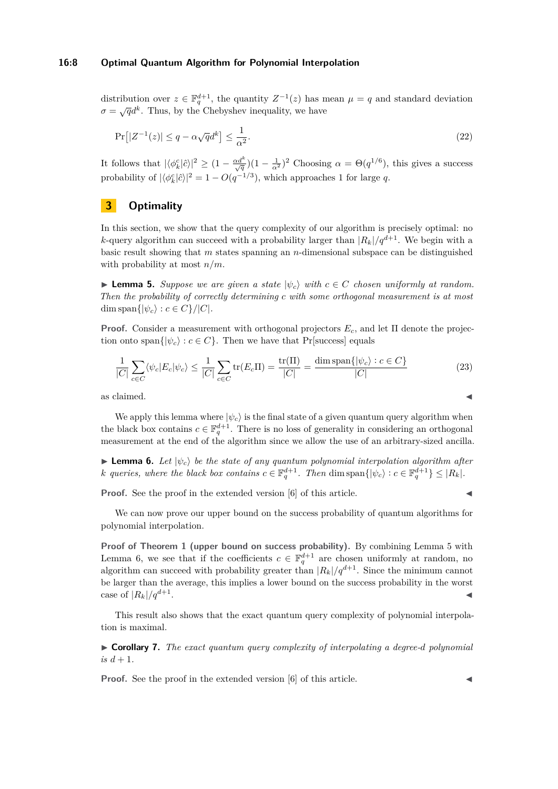#### **16:8 Optimal Quantum Algorithm for Polynomial Interpolation**

distribution over  $z \in \mathbb{F}_q^{d+1}$ , the quantity  $Z^{-1}(z)$  has mean  $\mu = q$  and standard deviation  $\sigma = \sqrt{q}d^k$ . Thus, by the Chebyshev inequality, we have

$$
\Pr\left[|Z^{-1}(z)| \le q - \alpha \sqrt{q} d^k\right] \le \frac{1}{\alpha^2}.\tag{22}
$$

It follows that  $|\langle \phi_k^c | \hat{c} \rangle|^2 \geq (1 - \frac{\alpha d^k}{\sqrt{q}})(1 - \frac{1}{\alpha^2})^2$  Choosing  $\alpha = \Theta(q^{1/6})$ , this gives a success probability of  $|\langle \phi_k^c | \hat{c} \rangle|^2 = 1 - O(q^{-1/3})$ , which approaches 1 for large *q*.

# <span id="page-7-0"></span>**3 Optimality**

In this section, we show that the query complexity of our algorithm is precisely optimal: no *k*-query algorithm can succeed with a probability larger than  $|R_k|/q^{d+1}$ . We begin with a basic result showing that *m* states spanning an *n*-dimensional subspace can be distinguished with probability at most *n/m*.

<span id="page-7-1"></span>**► Lemma 5.** Suppose we are given a state  $|\psi_c\rangle$  with  $c \in C$  chosen uniformly at random. *Then the probability of correctly determining c with some orthogonal measurement is at most* dim span $\{|\psi_c\rangle : c \in C\}/|C|$ .

**Proof.** Consider a measurement with orthogonal projectors  $E_c$ , and let  $\Pi$  denote the projection onto span $\{|\psi_c\rangle : c \in C\}$ . Then we have that Pr[success] equals

$$
\frac{1}{|C|}\sum_{c\in C}\langle\psi_c|E_c|\psi_c\rangle\leq \frac{1}{|C|}\sum_{c\in C}\text{tr}(E_c\Pi)=\frac{\text{tr}(\Pi)}{|C|}=\frac{\text{dim span}\{|\psi_c\rangle : c\in C\}}{|C|}\tag{23}
$$

as claimed.  $\blacksquare$ 

We apply this lemma where  $|\psi_c\rangle$  is the final state of a given quantum query algorithm when the black box contains  $c \in \mathbb{F}_q^{d+1}$ . There is no loss of generality in considering an orthogonal measurement at the end of the algorithm since we allow the use of an arbitrary-sized ancilla.

<span id="page-7-2"></span>**Lemma 6.** Let  $|\psi_c\rangle$  be the state of any quantum polynomial interpolation algorithm after *k queries, where the black box contains*  $c \in \mathbb{F}_q^{d+1}$ . Then dim span $\{|\psi_c\rangle : c \in \mathbb{F}_q^{d+1}\} \leq |R_k|$ .

**Proof.** See the proof in the extended version [\[6\]](#page-12-12) of this article.

We can now prove our upper bound on the success probability of quantum algorithms for polynomial interpolation.

**Proof of Theorem [1](#page-2-0) (upper bound on success probability).** By combining Lemma [5](#page-7-1) with Lemma [6,](#page-7-2) we see that if the coefficients  $c \in \mathbb{F}_q^{d+1}$  are chosen uniformly at random, no algorithm can succeed with probability greater than  $|R_k|/q^{d+1}$ . Since the minimum cannot be larger than the average, this implies a lower bound on the success probability in the worst case of  $|R_k|/q^{d+1}$ . . January 1980, and the contract of the contract of the contract of the contract of

This result also shows that the exact quantum query complexity of polynomial interpolation is maximal.

I **Corollary 7.** *The exact quantum query complexity of interpolating a degree-d polynomial is*  $d + 1$ *.* 

**Proof.** See the proof in the extended version [\[6\]](#page-12-12) of this article.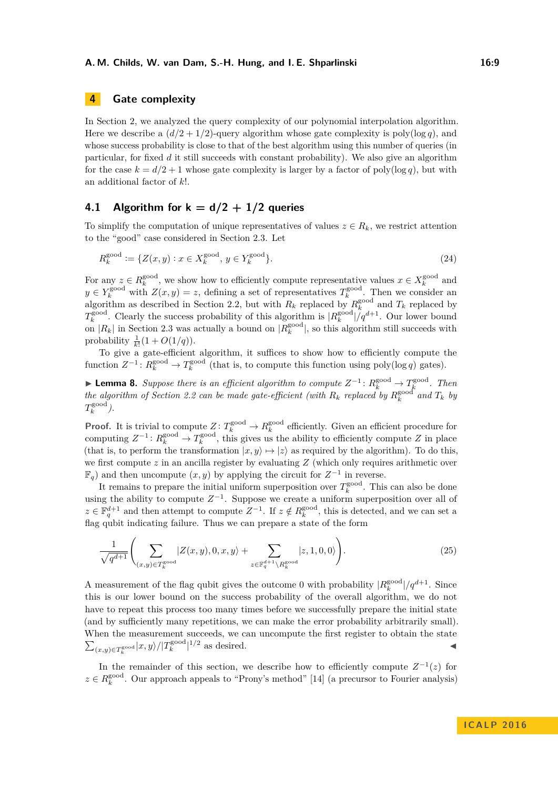# <span id="page-8-0"></span>**4 Gate complexity**

In Section [2,](#page-3-1) we analyzed the query complexity of our polynomial interpolation algorithm. Here we describe a  $(d/2 + 1/2)$ -query algorithm whose gate complexity is poly(log *q*), and whose success probability is close to that of the best algorithm using this number of queries (in particular, for fixed *d* it still succeeds with constant probability). We also give an algorithm for the case  $k = d/2 + 1$  whose gate complexity is larger by a factor of poly(log *q*), but with an additional factor of *k*!.

## <span id="page-8-2"></span>**4.1 Algorithm for**  $k = d/2 + 1/2$  **queries**

To simplify the computation of unique representatives of values  $z \in R_k$ , we restrict attention to the "good" case considered in Section [2.3.](#page-5-0) Let

$$
R_k^{\text{good}} := \{ Z(x, y) : x \in X_k^{\text{good}}, y \in Y_k^{\text{good}} \}. \tag{24}
$$

For any  $z \in R_k^{\text{good}}$ , we show how to efficiently compute representative values  $x \in X_k^{\text{good}}$  and  $y \in Y_k^{\text{good}}$  with  $Z(x, y) = z$ , defining a set of representatives  $T_k^{\text{good}}$ . Then we consider an algorithm as described in Section [2.2,](#page-4-0) but with  $R_k$  replaced by  $R_k^{\text{good}}$  and  $T_k$  replaced by  $T_k^{\text{good}}$ . Clearly the success probability of this algorithm is  $|R_k^{\text{good}}|/q^{d+1}$ . Our lower bound on  $|R_k|$  in Section [2.3](#page-5-0) was actually a bound on  $|R_k^{\text{good}}|$ , so this algorithm still succeeds with probability  $\frac{1}{k!}(1 + O(1/q)).$ 

To give a gate-efficient algorithm, it suffices to show how to efficiently compute the function  $Z^{-1}$ :  $R_k^{\text{good}} \to T_k^{\text{good}}$  (that is, to compute this function using poly(log *q*) gates).

<span id="page-8-1"></span>► **Lemma 8.** Suppose there is an efficient algorithm to compute  $Z^{-1}$ :  $R_k^{\text{good}}$  →  $T_k^{\text{good}}$ . Then *k* **the algorithm of Section** [2.2](#page-4-0) can be made gate-efficient (with  $R_k$  replaced by  $R_k^{\text{good}}$  and  $T_k$  by  $T_k^{\text{good}}$ ).

**Proof.** It is trivial to compute  $Z: T_k^{\text{good}} \to R_k^{\text{good}}$  efficiently. Given an efficient procedure for computing  $Z^{-1}$ :  $R_k^{\text{good}} \to T_k^{\text{good}}$ , this gives us the ability to efficiently compute *Z* in place (that is, to perform the transformation  $|x, y\rangle \mapsto |z\rangle$  as required by the algorithm). To do this, we first compute *z* in an ancilla register by evaluating *Z* (which only requires arithmetic over  $\mathbb{F}_q$ ) and then uncompute  $(x, y)$  by applying the circuit for  $Z^{-1}$  in reverse.

It remains to prepare the initial uniform superposition over  $T_k^{\text{good}}$ . This can also be done using the ability to compute  $Z^{-1}$ . Suppose we create a uniform superposition over all of  $z \in \mathbb{F}_q^{d+1}$  and then attempt to compute  $Z^{-1}$ . If  $z \notin R_k^{\text{good}}$ , this is detected, and we can set a flag qubit indicating failure. Thus we can prepare a state of the form

$$
\frac{1}{\sqrt{q^{d+1}}} \left( \sum_{(x,y)\in T_k^{\text{good}}} |Z(x,y),0,x,y\rangle + \sum_{z\in \mathbb{F}_q^{d+1}\backslash R_k^{\text{good}}} |z,1,0,0\rangle \right).
$$
 (25)

A measurement of the flag qubit gives the outcome 0 with probability  $|R_k^{\text{good}}|/q^{d+1}$ . Since this is our lower bound on the success probability of the overall algorithm, we do not have to repeat this process too many times before we successfully prepare the initial state (and by sufficiently many repetitions, we can make the error probability arbitrarily small). When the measurement succeeds, we can uncompute the first register to obtain the state  $\sum_{(x,y)\in T_k^{\text{good}}}|x,y\rangle/|T_k^{\text{good}}|^{1/2}$  as desired.

In the remainder of this section, we describe how to efficiently compute  $Z^{-1}(z)$  for  $z \in R_k^{\text{good}}$ . Our approach appeals to "Prony's method" [\[14\]](#page-12-14) (a precursor to Fourier analysis)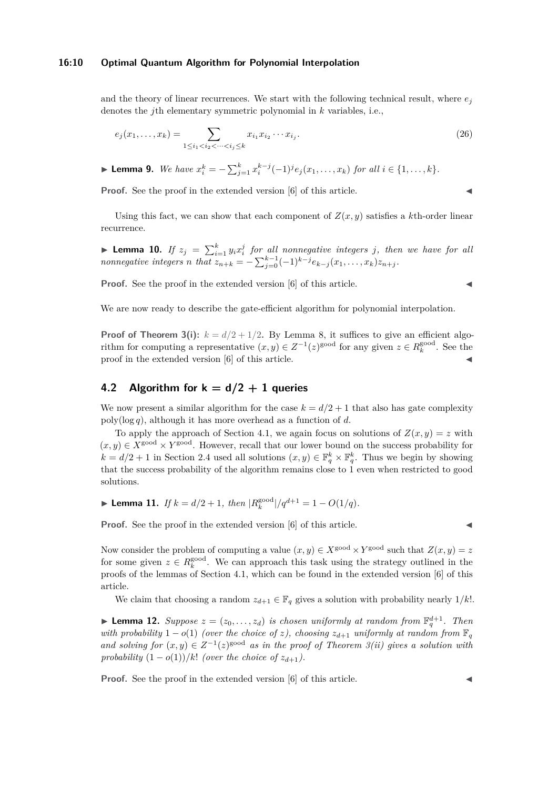#### **16:10 Optimal Quantum Algorithm for Polynomial Interpolation**

and the theory of linear recurrences. We start with the following technical result, where  $e_i$ denotes the *j*th elementary symmetric polynomial in *k* variables, i.e.,

$$
e_j(x_1, \dots, x_k) = \sum_{1 \le i_1 < i_2 < \dots < i_j \le k} x_{i_1} x_{i_2} \dots x_{i_j}.\tag{26}
$$

► Lemma 9. We have  $x_i^k = -\sum_{j=1}^k x_i^{k-j} (-1)^j e_j(x_1,...,x_k)$  for all  $i \in \{1,...,k\}$ .

**Proof.** See the proof in the extended version [\[6\]](#page-12-12) of this article.

Using this fact, we can show that each component of  $Z(x, y)$  satisfies a *k*th-order linear recurrence.

**Lemma 10.** *If*  $z_j = \sum_{i=1}^k y_i x_i^j$  for all nonnegative integers *j*, then we have for all *nonnegative integers n that*  $z_{n+k} = -\sum_{j=0}^{k-1} (-1)^{k-j} e_{k-j}(x_1, \ldots, x_k) z_{n+j}$ .

**Proof.** See the proof in the extended version [\[6\]](#page-12-12) of this article.

We are now ready to describe the gate-efficient algorithm for polynomial interpolation.

**Proof of Theorem [3\(](#page-3-2)i):**  $k = d/2 + 1/2$ . By Lemma [8,](#page-8-1) it suffices to give an efficient algorithm for computing a representative  $(x, y) \in Z^{-1}(z)$ <sup>good</sup> for any given  $z \in R_k^{\text{good}}$ . See the proof in the extended version [\[6\]](#page-12-12) of this article.

# **4.2** Algorithm for  $k = d/2 + 1$  queries

We now present a similar algorithm for the case  $k = d/2 + 1$  that also has gate complexity poly(log *q*), although it has more overhead as a function of *d*.

To apply the approach of Section [4.1,](#page-8-2) we again focus on solutions of  $Z(x, y) = z$  with  $(x, y) \in X^{\text{good}} \times Y^{\text{good}}$ . However, recall that our lower bound on the success probability for  $k = d/2 + 1$  in Section [2.4](#page-5-1) used all solutions  $(x, y) \in \mathbb{F}_q^k \times \mathbb{F}_q^k$ . Thus we begin by showing that the success probability of the algorithm remains close to 1 even when restricted to good solutions.

<span id="page-9-1"></span>▶ Lemma 11. *If*  $k = d/2 + 1$ *, then*  $|R_k^{\text{good}}|/q^{d+1} = 1 - O(1/q)$ *.* 

**Proof.** See the proof in the extended version [\[6\]](#page-12-12) of this article.

Now consider the problem of computing a value  $(x, y) \in X^{\text{good}} \times Y^{\text{good}}$  such that  $Z(x, y) = z$ for some given  $z \in R_k^{\text{good}}$ . We can approach this task using the strategy outlined in the proofs of the lemmas of Section [4.1,](#page-8-2) which can be found in the extended version [\[6\]](#page-12-12) of this article.

We claim that choosing a random  $z_{d+1} \in \mathbb{F}_q$  gives a solution with probability nearly  $1/k!$ .

<span id="page-9-0"></span>**Lemma 12.** Suppose  $z = (z_0, \ldots, z_d)$  is chosen uniformly at random from  $\mathbb{F}_q^{d+1}$ . Then *with probability*  $1 - o(1)$  *(over the choice of z), choosing*  $z_{d+1}$  *uniformly at random from*  $\mathbb{F}_q$ and solving for  $(x, y) \in Z^{-1}(z)$ <sup>good</sup> as in the proof of Theorem [3\(](#page-3-2)*ii*) gives a solution with *probability*  $(1 - o(1))/k!$  *(over the choice of*  $z_{d+1}$ *).* 

**Proof.** See the proof in the extended version [\[6\]](#page-12-12) of this article.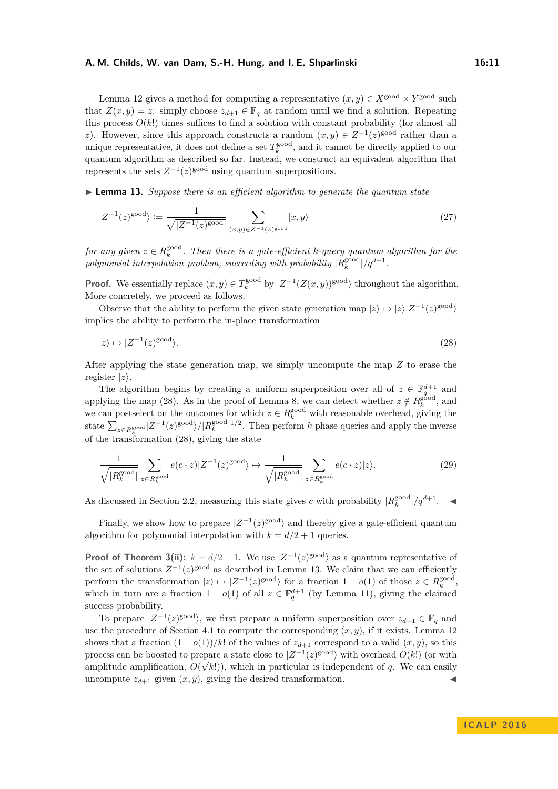Lemma [12](#page-9-0) gives a method for computing a representative  $(x, y) \in X^{\text{good}} \times Y^{\text{good}}$  such that  $Z(x, y) = z$ : simply choose  $z_{d+1} \in \mathbb{F}_q$  at random until we find a solution. Repeating this process  $O(k!)$  times suffices to find a solution with constant probability (for almost all *z*). However, since this approach constructs a random  $(x, y) \in Z^{-1}(z)$ <sup>good</sup> rather than a unique representative, it does not define a set  $T_k^{\text{good}}$ , and it cannot be directly applied to our quantum algorithm as described so far. Instead, we construct an equivalent algorithm that represents the sets  $Z^{-1}(z)$ <sup>good</sup> using quantum superpositions.

<span id="page-10-1"></span>► **Lemma 13.** *Suppose there is an efficient algorithm to generate the quantum state* 

$$
|Z^{-1}(z)^{\text{good}}\rangle := \frac{1}{\sqrt{|Z^{-1}(z)^{\text{good}}|}} \sum_{(x,y)\in Z^{-1}(z)^{\text{good}}} |x,y\rangle
$$
\n(27)

 $f$ or any given  $z \in R_k^{\rm good}$ . Then there is a gate-efficient  $k$ -query quantum algorithm for the  $polynomial interpolation problem, succeeding with probability |R_k^{good}|/q^{d+1}$ .

**Proof.** We essentially replace  $(x, y) \in T_k^{\text{good}}$  by  $|Z^{-1}(Z(x, y))^{\text{good}}\rangle$  throughout the algorithm. More concretely, we proceed as follows.

Observe that the ability to perform the given state generation map  $|z\rangle \mapsto |z\rangle |Z^{-1}(z)^{\text{good}}\rangle$ implies the ability to perform the in-place transformation

<span id="page-10-0"></span>
$$
|z\rangle \mapsto |Z^{-1}(z)^{\text{good}}\rangle. \tag{28}
$$

After applying the state generation map, we simply uncompute the map *Z* to erase the register  $|z\rangle$ .

The algorithm begins by creating a uniform superposition over all of  $z \in \mathbb{F}_q^{d+1}$  and applying the map [\(28\)](#page-10-0). As in the proof of Lemma [8,](#page-8-1) we can detect whether  $z \notin R_k^{\text{good}}$ , and we can postselect on the outcomes for which  $z \in R_k^{\text{good}}$  with reasonable overhead, giving the state  $\sum_{z \in R_k^{\text{good}}}|Z^{-1}(z)^{\text{good}}\rangle/|R_k^{\text{good}}|^{1/2}$ . Then perform *k* phase queries and apply the inverse of the transformation [\(28\)](#page-10-0), giving the state

$$
\frac{1}{\sqrt{|R_k^{\text{good}}|}} \sum_{z \in R_k^{\text{good}}} e(c \cdot z) |Z^{-1}(z)^{\text{good}}\rangle \mapsto \frac{1}{\sqrt{|R_k^{\text{good}}|}} \sum_{z \in R_k^{\text{good}}} e(c \cdot z) |z\rangle. \tag{29}
$$

As discussed in Section [2.2,](#page-4-0) measuring this state gives *c* with probability  $|R_k^{\text{good}}|/q^{d+1}$ .

Finally, we show how to prepare  $|Z^{-1}(z)|^{good}$  and thereby give a gate-efficient quantum algorithm for polynomial interpolation with  $k = d/2 + 1$  queries.

**Proof of Theorem [3\(](#page-3-2)ii):**  $k = d/2 + 1$ . We use  $|Z^{-1}(z)^{\text{good}}\rangle$  as a quantum representative of the set of solutions  $Z^{-1}(z)$ <sup>sood</sup> as described in Lemma [13.](#page-10-1) We claim that we can efficiently perform the transformation  $|z\rangle \mapsto |Z^{-1}(z)^{\text{good}}\rangle$  for a fraction  $1 - o(1)$  of those  $z \in R_k^{\text{good}}$ , which in turn are a fraction  $1 - o(1)$  of all  $z \in \mathbb{F}_q^{d+1}$  (by Lemma [11\)](#page-9-1), giving the claimed success probability.

To prepare  $|Z^{-1}(z)|^{good}$ , we first prepare a uniform superposition over  $z_{d+1} \in \mathbb{F}_q$  and use the procedure of Section [4.1](#page-8-2) to compute the corresponding  $(x, y)$ , if it exists. Lemma [12](#page-9-0) shows that a fraction  $(1 - o(1))/k!$  of the values of  $z_{d+1}$  correspond to a valid  $(x, y)$ , so this process can be boosted to prepare a state close to  $|Z^{-1}(z)|^{good}$  with overhead  $O(k!)$  (or with amplitude amplification,  $O(\sqrt{k!})$ , which in particular is independent of q. We can easily uncompute  $z_{d+1}$  given  $(x, y)$ , giving the desired transformation.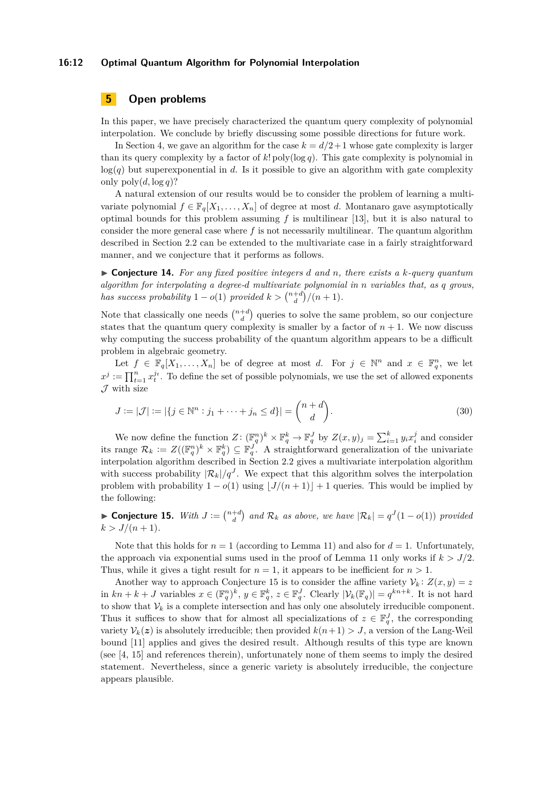#### **16:12 Optimal Quantum Algorithm for Polynomial Interpolation**

## <span id="page-11-0"></span>**5 Open problems**

In this paper, we have precisely characterized the quantum query complexity of polynomial interpolation. We conclude by briefly discussing some possible directions for future work.

In Section [4,](#page-8-0) we gave an algorithm for the case  $k = d/2 + 1$  whose gate complexity is larger than its query complexity by a factor of *k*! poly(log *q*). This gate complexity is polynomial in  $log(q)$  but superexponential in *d*. Is it possible to give an algorithm with gate complexity only  $\text{poly}(d, \log q)$ ?

A natural extension of our results would be to consider the problem of learning a multivariate polynomial  $f \in \mathbb{F}_q[X_1, \ldots, X_n]$  of degree at most *d*. Montanaro gave asymptotically optimal bounds for this problem assuming *f* is multilinear [\[13\]](#page-12-15), but it is also natural to consider the more general case where *f* is not necessarily multilinear. The quantum algorithm described in Section [2.2](#page-4-0) can be extended to the multivariate case in a fairly straightforward manner, and we conjecture that it performs as follows.

I **Conjecture 14.** *For any fixed positive integers d and n, there exists a k-query quantum algorithm for interpolating a degree-d multivariate polynomial in n variables that, as q grows, has success probability*  $1 - o(1)$  *provided*  $k > \binom{n+d}{d}/(n+1)$ *.* 

Note that classically one needs  $\binom{n+d}{d}$  queries to solve the same problem, so our conjecture states that the quantum query complexity is smaller by a factor of  $n + 1$ . We now discuss why computing the success probability of the quantum algorithm appears to be a difficult problem in algebraic geometry.

Let  $f \in \mathbb{F}_q[X_1,\ldots,X_n]$  be of degree at most *d*. For  $j \in \mathbb{N}^n$  and  $x \in \mathbb{F}_q^n$ , we let  $x^j := \prod_{t=1}^n x_t^{j_t}$ . To define the set of possible polynomials, we use the set of allowed exponents  $\mathcal J$  with size

$$
J := |\mathcal{J}| := |\{j \in \mathbb{N}^n : j_1 + \dots + j_n \le d\}| = \binom{n+d}{d}.
$$
\n(30)

We now define the function  $Z: (\mathbb{F}_q^n)^k \times \mathbb{F}_q^k \to \mathbb{F}_q^J$  by  $Z(x, y)_j = \sum_{i=1}^k y_i x_i^j$  and consider its range  $\mathcal{R}_k := Z((\mathbb{F}_q^n)^k \times \mathbb{F}_q^k) \subseteq \mathbb{F}_q^J$ . A straightforward generalization of the univariate interpolation algorithm described in Section [2.2](#page-4-0) gives a multivariate interpolation algorithm with success probability  $|\mathcal{R}_k|/q^J$ . We expect that this algorithm solves the interpolation problem with probability  $1 - o(1)$  using  $|J/(n + 1)| + 1$  queries. This would be implied by the following:

<span id="page-11-1"></span>► **Conjecture 15.** *With*  $J := \binom{n+d}{d}$  and  $\mathcal{R}_k$  as above, we have  $|\mathcal{R}_k| = q^J(1 - o(1))$  provided  $k > J/(n + 1)$ .

Note that this holds for  $n = 1$  (according to Lemma [11\)](#page-9-1) and also for  $d = 1$ . Unfortunately, the approach via exponential sums used in the proof of Lemma [11](#page-9-1) only works if  $k > J/2$ . Thus, while it gives a tight result for  $n = 1$ , it appears to be inefficient for  $n > 1$ .

Another way to approach Conjecture [15](#page-11-1) is to consider the affine variety  $V_k$ :  $Z(x, y) = z$ in  $kn + k + J$  variables  $x \in (\mathbb{F}_q^n)^k$ ,  $y \in \mathbb{F}_q^k$ ,  $z \in \mathbb{F}_q^J$ . Clearly  $|\mathcal{V}_k(\mathbb{F}_q)| = q^{kn+k}$ . It is not hard to show that  $V_k$  is a complete intersection and has only one absolutely irreducible component. Thus it suffices to show that for almost all specializations of  $z \in \mathbb{F}_q^J$ , the corresponding variety  $V_k(z)$  is absolutely irreducible; then provided  $k(n+1) > J$ , a version of the Lang-Weil bound [\[11\]](#page-12-16) applies and gives the desired result. Although results of this type are known (see [\[4,](#page-12-17) [15\]](#page-12-18) and references therein), unfortunately none of them seems to imply the desired statement. Nevertheless, since a generic variety is absolutely irreducible, the conjecture appears plausible.